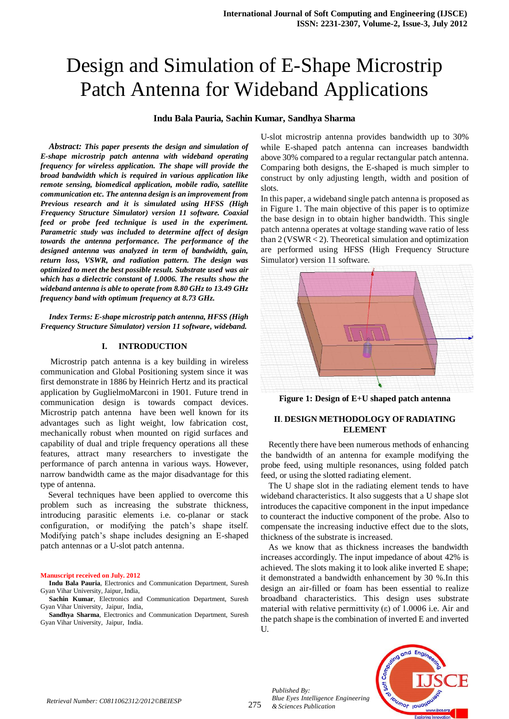# Design and Simulation of E-Shape Microstrip Patch Antenna for Wideband Applications

## **Indu Bala Pauria, Sachin Kumar, Sandhya Sharma**

*Abstract: This paper presents the design and simulation of E-shape microstrip patch antenna with wideband operating frequency for wireless application. The shape will provide the broad bandwidth which is required in various application like remote sensing, biomedical application, mobile radio, satellite communication etc. The antenna design is an improvement from Previous research and it is simulated using HFSS (High Frequency Structure Simulator) version 11 software. Coaxial feed or probe feed technique is used in the experiment. Parametric study was included to determine affect of design towards the antenna performance. The performance of the designed antenna was analyzed in term of bandwidth, gain, return loss, VSWR, and radiation pattern. The design was optimized to meet the best possible result. Substrate used was air which has a dielectric constant of 1.0006. The results show the wideband antenna is able to operate from 8.80 GHz to 13.49 GHz frequency band with optimum frequency at 8.73 GHz.*

*Index Terms: E-shape microstrip patch antenna, HFSS (High Frequency Structure Simulator) version 11 software, wideband.*

### **I. INTRODUCTION**

Microstrip patch antenna is a key building in wireless communication and Global Positioning system since it was first demonstrate in 1886 by Heinrich Hertz and its practical application by GuglielmoMarconi in 1901. Future trend in communication design is towards compact devices. Microstrip patch antenna have been well known for its advantages such as light weight, low fabrication cost, mechanically robust when mounted on rigid surfaces and capability of dual and triple frequency operations all these features, attract many researchers to investigate the performance of parch antenna in various ways. However, narrow bandwidth came as the major disadvantage for this type of antenna.

Several techniques have been applied to overcome this problem such as increasing the substrate thickness, introducing parasitic elements i.e. co-planar or stack configuration, or modifying the patch's shape itself. Modifying patch's shape includes designing an E-shaped patch antennas or a U-slot patch antenna.

#### **Manuscript received on July. 2012**

**Indu Bala Pauria**, Electronics and Communication Department, Suresh Gyan Vihar University, Jaipur, India,

**Sachin Kumar**, Electronics and Communication Department, Suresh Gyan Vihar University, Jaipur, India,

**Sandhya Sharma**, Electronics and Communication Department, Suresh Gyan Vihar University, Jaipur, India.

U-slot microstrip antenna provides bandwidth up to 30% while E-shaped patch antenna can increases bandwidth above 30% compared to a regular rectangular patch antenna. Comparing both designs, the E-shaped is much simpler to construct by only adjusting length, width and position of slots.

In this paper, a wideband single patch antenna is proposed as in Figure 1. The main objective of this paper is to optimize the base design in to obtain higher bandwidth. This single patch antenna operates at voltage standing wave ratio of less than 2 (VSWR < 2). Theoretical simulation and optimization are performed using HFSS (High Frequency Structure Simulator) version 11 software.



**Figure 1: Design of E+U shaped patch antenna**

## **II**. **DESIGN METHODOLOGY OF RADIATING ELEMENT**

Recently there have been numerous methods of enhancing the bandwidth of an antenna for example modifying the probe feed, using multiple resonances, using folded patch feed, or using the slotted radiating element.

The U shape slot in the radiating element tends to have wideband characteristics. It also suggests that a U shape slot introduces the capacitive component in the input impedance to counteract the inductive component of the probe. Also to compensate the increasing inductive effect due to the slots, thickness of the substrate is increased.

As we know that as thickness increases the bandwidth increases accordingly. The input impedance of about 42% is achieved. The slots making it to look alike inverted E shape; it demonstrated a bandwidth enhancement by 30 %.In this design an air-filled or foam has been essential to realize broadband characteristics. This design uses substrate material with relative permittivity  $(\epsilon)$  of 1.0006 i.e. Air and the patch shape is the combination of inverted E and inverted U.



*Published By:*

*& Sciences Publication* 

*Blue Eyes Intelligence Engineering*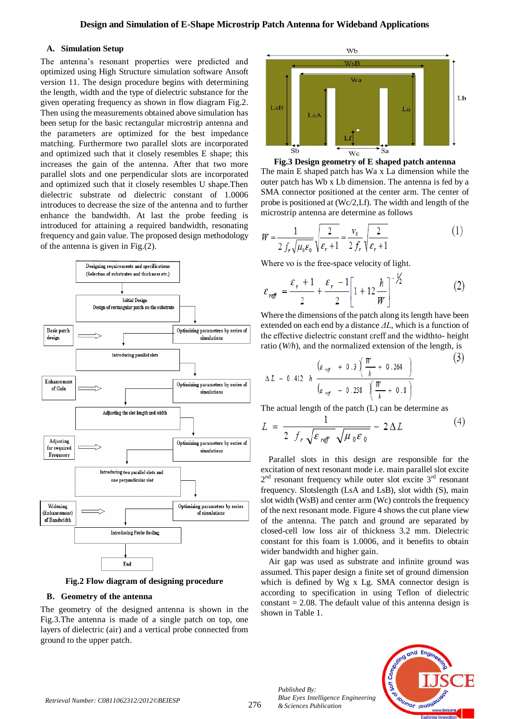## **A. Simulation Setup**

The antenna's resonant properties were predicted and optimized using High Structure simulation software Ansoft version 11. The design procedure begins with determining the length, width and the type of dielectric substance for the given operating frequency as shown in flow diagram Fig.2. Then using the measurements obtained above simulation has been setup for the basic rectangular microstrip antenna and the parameters are optimized for the best impedance matching. Furthermore two parallel slots are incorporated and optimized such that it closely resembles E shape; this increases the gain of the antenna. After that two more parallel slots and one perpendicular slots are incorporated and optimized such that it closely resembles U shape.Then dielectric substrate od dielectric constant of 1.0006 introduces to decrease the size of the antenna and to further enhance the bandwidth. At last the probe feeding is introduced for attaining a required bandwidth, resonating frequency and gain value. The proposed design methodology of the antenna is given in Fig.(2).



**Fig.2 Flow diagram of designing procedure**

## **B. Geometry of the antenna**

The geometry of the designed antenna is shown in the Fig.3.The antenna is made of a single patch on top, one layers of dielectric (air) and a vertical probe connected from ground to the upper patch.



**Fig.3 Design geometry of E shaped patch antenna** The main E shaped patch has Wa x La dimension while the outer patch has Wb x Lb dimension. The antenna is fed by a SMA connector positioned at the center arm. The center of probe is positioned at (Wc/2,Lf). The width and length of the microstrip antenna are determine as follows

$$
W = \frac{1}{2 f_r \sqrt{\mu_0 \varepsilon_0}} \sqrt{\frac{2}{\varepsilon_r + 1}} = \frac{v_0}{2 f_r} \sqrt{\frac{2}{\varepsilon_r + 1}}
$$
(1)

Where vo is the free-space velocity of light.

$$
\varepsilon_{\text{ref}} = \frac{\varepsilon_r + 1}{2} + \frac{\varepsilon_r - 1}{2} \left[ 1 + 12 \frac{h}{W} \right]^{-\frac{1}{2}} \tag{2}
$$

Where the dimensions of the patch along its length have been extended on each end by a distance *ΔL*, which is a function of the effective dielectric constant εreff and the widthto- height ratio (*W/h*), and the normalized extension of the length, is

$$
\Delta L = 0.412 \quad h \quad \frac{\left(\varepsilon_{\text{ref}} + 0.3\right)\left(\frac{W}{h} + 0.264\right)}{\left(\varepsilon_{\text{ref}} - 0.258\right)\left(\frac{W}{h} + 0.8\right)}
$$
\n(3)

The actual length of the patch (L) can be determine as

$$
L = \frac{1}{2 f_r \sqrt{\varepsilon_{\text{ref}} \sqrt{\mu_0 \varepsilon_0}}} - 2 \Delta L \tag{4}
$$

Parallel slots in this design are responsible for the excitation of next resonant mode i.e. main parallel slot excite  $2<sup>nd</sup>$  resonant frequency while outer slot excite  $3<sup>rd</sup>$  resonant frequency. Slotslength (LsA and LsB), slot width (S), main slot width (WsB) and center arm (Wc) controls the frequency of the next resonant mode. Figure 4 shows the cut plane view of the antenna. The patch and ground are separated by closed-cell low loss air of thickness 3.2 mm. Dielectric constant for this foam is 1.0006, and it benefits to obtain wider bandwidth and higher gain.

Air gap was used as substrate and infinite ground was assumed. This paper design a finite set of ground dimension which is defined by Wg x Lg. SMA connector design is according to specification in using Teflon of dielectric constant  $= 2.08$ . The default value of this antenna design is shown in Table 1.



*Published By:*

*& Sciences Publication* 

*Blue Eyes Intelligence Engineering*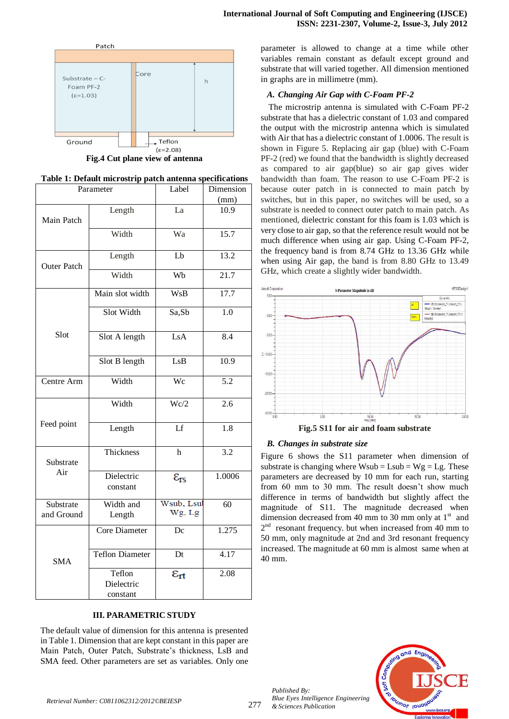

**Fig.4 Cut plane view of antenna**

| Parameter               |                                  | Label                  | Dimension        |
|-------------------------|----------------------------------|------------------------|------------------|
|                         |                                  |                        | (mm)             |
| Main Patch              | Length                           | La                     | 10.9             |
|                         | Width                            | Wa                     | 15.7             |
| <b>Outer Patch</b>      | Length                           | Lb                     | 13.2             |
|                         | Width                            | Wb                     | 21.7             |
| Slot                    | Main slot width                  | <b>WsB</b>             | 17.7             |
|                         | Slot Width                       | Sa,Sb                  | 1.0              |
|                         | LsA<br>Slot A length             |                        | 8.4              |
|                         | Slot B length                    | LsB                    | 10.9             |
| Centre Arm              | Width                            | Wc                     | 5.2              |
| Feed point              | Width                            | Wc/2                   | $\overline{2.6}$ |
|                         | Length                           | Lf                     | 1.8              |
| Substrate<br>Air        | Thickness                        | $\mathbf h$            | 3.2              |
|                         | Dielectric<br>constant           | $\varepsilon_{rs}$     | 1.0006           |
| Substrate<br>and Ground | Width and<br>Length              | Wsub, Lsul<br>Wg, Lg   | 60               |
| <b>SMA</b>              | Core Diameter                    | Dc                     | 1.275            |
|                         | <b>Teflon Diameter</b>           | Dt                     | 4.17             |
|                         | Teflon<br>Dielectric<br>constant | $\varepsilon_{\rm rt}$ | 2.08             |

## **III. PARAMETRIC STUDY**

The default value of dimension for this antenna is presented in Table 1. Dimension that are kept constant in this paper are Main Patch, Outer Patch, Substrate's thickness, LsB and SMA feed. Other parameters are set as variables. Only one parameter is allowed to change at a time while other variables remain constant as default except ground and substrate that will varied together. All dimension mentioned in graphs are in millimetre (mm).

## *A. Changing Air Gap with C-Foam PF-2*

The microstrip antenna is simulated with C-Foam PF-2 substrate that has a dielectric constant of 1.03 and compared the output with the microstrip antenna which is simulated with Air that has a dielectric constant of 1.0006. The result is shown in Figure 5. Replacing air gap (blue) with C-Foam PF-2 (red) we found that the bandwidth is slightly decreased as compared to air gap(blue) so air gap gives wider bandwidth than foam. The reason to use C-Foam PF-2 is because outer patch in is connected to main patch by switches, but in this paper, no switches will be used, so a substrate is needed to connect outer patch to main patch. As mentioned, dielectric constant for this foam is 1.03 which is very close to air gap, so that the reference result would not be much difference when using air gap. Using C-Foam PF-2, the frequency band is from 8.74 GHz to 13.36 GHz while when using Air gap, the band is from 8.80 GHz to 13.49 GHz, which create a slightly wider bandwidth.



## *B. Changes in substrate size*

Figure 6 shows the S11 parameter when dimension of substrate is changing where  $Wsub = Lsub = Wg = Lg$ . These parameters are decreased by 10 mm for each run, starting from 60 mm to 30 mm. The result doesn't show much difference in terms of bandwidth but slightly affect the magnitude of S11. The magnitude decreased when dimension decreased from 40 mm to 30 mm only at  $1<sup>st</sup>$  and  $2<sup>nd</sup>$  resonant frequency. but when increased from 40 mm to 50 mm, only magnitude at 2nd and 3rd resonant frequency increased. The magnitude at 60 mm is almost same when at 40 mm.



277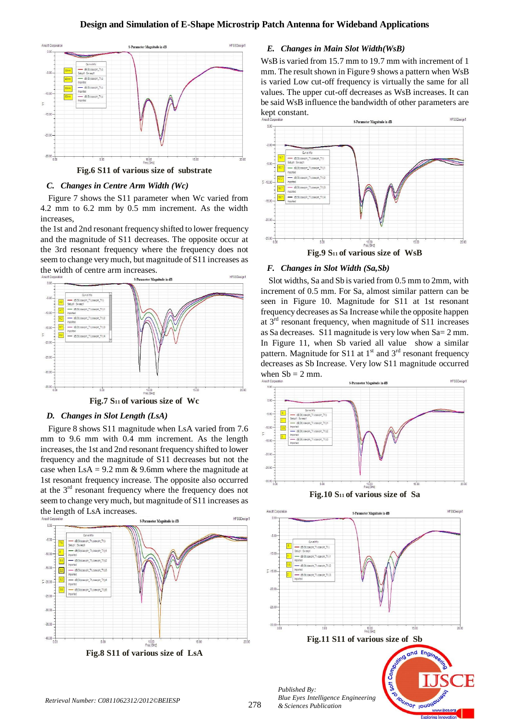

**Fig.6 S11 of various size of substrate**

#### *C. Changes in Centre Arm Width (Wc)*

Figure 7 shows the S11 parameter when Wc varied from 4.2 mm to 6.2 mm by 0.5 mm increment. As the width increases,

the 1st and 2nd resonant frequency shifted to lower frequency and the magnitude of S11 decreases. The opposite occur at the 3rd resonant frequency where the frequency does not seem to change very much, but magnitude of S11 increases as the width of centre arm increases.



#### *D. Changes in Slot Length (LsA)*

Figure 8 shows S11 magnitude when LsA varied from 7.6 mm to 9.6 mm with 0.4 mm increment. As the length increases, the 1st and 2nd resonant frequency shifted to lower frequency and the magnitude of S11 decreases but not the case when  $\text{LsA} = 9.2 \text{ mm} \& 9.6 \text{ mm}$  where the magnitude at 1st resonant frequency increase. The opposite also occurred at the  $3<sup>rd</sup>$  resonant frequency where the frequency does not seem to change very much, but magnitude of S11 increases as the length of LsA increases.



*E. Changes in Main Slot Width(WsB)*

WsB is varied from 15.7 mm to 19.7 mm with increment of 1 mm. The result shown in Figure 9 shows a pattern when WsB is varied Low cut-off frequency is virtually the same for all values. The upper cut-off decreases as WsB increases. It can be said WsB influence the bandwidth of other parameters are kept constant.





Slot widths, Sa and Sb is varied from 0.5 mm to 2mm, with increment of 0.5 mm. For Sa, almost similar pattern can be seen in Figure 10. Magnitude for S11 at 1st resonant frequency decreases as Sa Increase while the opposite happen at  $3<sup>rd</sup>$  resonant frequency, when magnitude of S11 increases as Sa decreases. S11 magnitude is very low when Sa= 2 mm. In Figure 11, when Sb varied all value show a similar pattern. Magnitude for S11 at  $1<sup>st</sup>$  and  $3<sup>rd</sup>$  resonant frequency decreases as Sb Increase. Very low S11 magnitude occurred when  $Sb = 2$  mm. **HFSSDesign** 





*& Sciences Publication*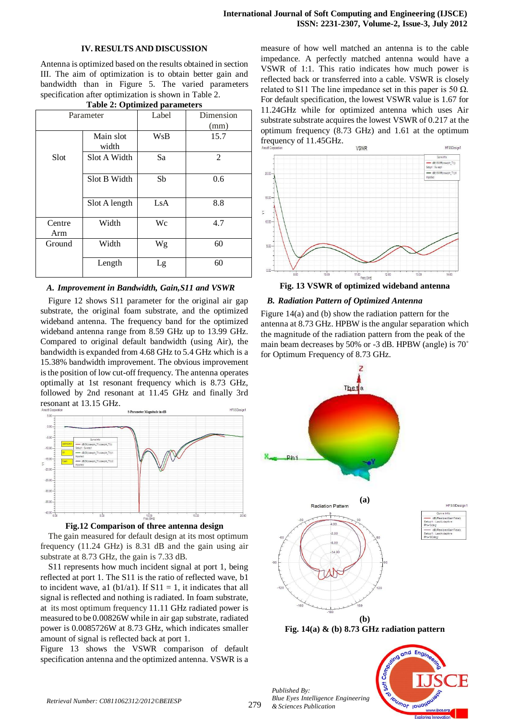#### **IV. RESULTS AND DISCUSSION**

Antenna is optimized based on the results obtained in section III. The aim of optimization is to obtain better gain and bandwidth than in Figure 5. The varied parameters specification after optimization is shown in Table 2.

| Parameter     |                    | Label     | Dimension |
|---------------|--------------------|-----------|-----------|
|               |                    |           | (mm)      |
|               | Main slot<br>width | WsB       | 15.7      |
| Slot          | Slot A Width       | Sa        | 2         |
|               | Slot B Width       | Sb        | 0.6       |
|               | Slot A length      | $\rm LsA$ | 8.8       |
| Centre<br>Arm | Width              | Wc        | 4.7       |
| Ground        | Width              | Wg        | 60        |
|               | Length             | Lg        | 60        |

## **Table 2: Optimized parameters**

#### *A. Improvement in Bandwidth, Gain,S11 and VSWR*

Figure 12 shows S11 parameter for the original air gap substrate, the original foam substrate, and the optimized wideband antenna. The frequency band for the optimized wideband antenna range from 8.59 GHz up to 13.99 GHz. Compared to original default bandwidth (using Air), the bandwidth is expanded from 4.68 GHz to 5.4 GHz which is a 15.38% bandwidth improvement. The obvious improvement isthe position of low cut-off frequency. The antenna operates optimally at 1st resonant frequency which is 8.73 GHz, followed by 2nd resonant at 11.45 GHz and finally 3rd resonant at 13.15 GHz.



**Fig.12 Comparison of three antenna design**

The gain measured for default design at its most optimum frequency (11.24 GHz) is 8.31 dB and the gain using air substrate at 8.73 GHz, the gain is 7.33 dB.

S11 represents how much incident signal at port 1, being reflected at port 1. The S11 is the ratio of reflected wave, b1 to incident wave, a1 (b1/a1). If  $S11 = 1$ , it indicates that all signal is reflected and nothing is radiated. In foam substrate, at its most optimum frequency 11.11 GHz radiated power is measured to be 0.00826W while in air gap substrate, radiated power is 0.0085726W at 8.73 GHz, which indicates smaller amount of signal is reflected back at port 1.

Figure 13 shows the VSWR comparison of default specification antenna and the optimized antenna. VSWR is a

measure of how well matched an antenna is to the cable impedance. A perfectly matched antenna would have a VSWR of 1:1. This ratio indicates how much power is reflected back or transferred into a cable. VSWR is closely related to S11 The line impedance set in this paper is 50  $\Omega$ . For default specification, the lowest VSWR value is 1.67 for 11.24GHz while for optimized antenna which uses Air substrate substrate acquires the lowest VSWR of 0.217 at the optimum frequency (8.73 GHz) and 1.61 at the optimum frequency of 11.45GHz.



**Fig. 13 VSWR of optimized wideband antenna**

#### *B. Radiation Pattern of Optimized Antenna*

Figure 14(a) and (b) show the radiation pattern for the antenna at 8.73 GHz. HPBW is the angular separation which the magnitude of the radiation pattern from the peak of the main beam decreases by 50% or -3 dB. HPBW (angle) is 70˚ for Optimum Frequency of 8.73 GHz.



**Fig. 14(a) & (b) 8.73 GHz radiation pattern**